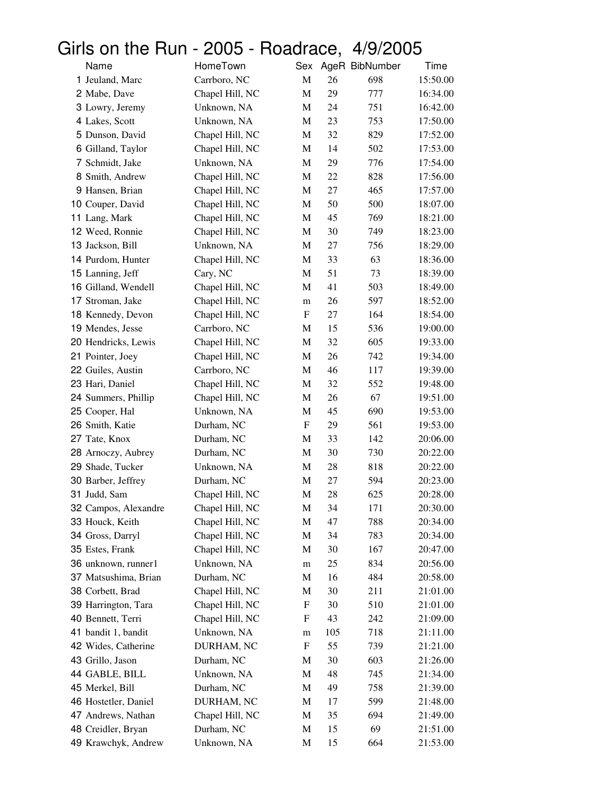## Girls on the Run - 2005 - Roadrace, 4/9/2005

| Name                 | HomeTown        | Sex         |     | AgeR BibNumber | Time     |
|----------------------|-----------------|-------------|-----|----------------|----------|
| 1 Jeuland, Marc      | Carrboro, NC    | $\mathbf M$ | 26  | 698            | 15:50.00 |
| 2 Mabe, Dave         | Chapel Hill, NC | M           | 29  | 777            | 16:34.00 |
| 3 Lowry, Jeremy      | Unknown, NA     | M           | 24  | 751            | 16:42.00 |
| 4 Lakes, Scott       | Unknown, NA     | M           | 23  | 753            | 17:50.00 |
| 5 Dunson, David      | Chapel Hill, NC | M           | 32  | 829            | 17:52.00 |
| 6 Gilland, Taylor    | Chapel Hill, NC | M           | 14  | 502            | 17:53.00 |
| 7 Schmidt, Jake      | Unknown, NA     | M           | 29  | 776            | 17:54.00 |
| 8 Smith, Andrew      | Chapel Hill, NC | M           | 22  | 828            | 17:56.00 |
| 9 Hansen, Brian      | Chapel Hill, NC | M           | 27  | 465            | 17:57.00 |
| 10 Couper, David     | Chapel Hill, NC | M           | 50  | 500            | 18:07.00 |
| 11 Lang, Mark        | Chapel Hill, NC | M           | 45  | 769            | 18:21.00 |
| 12 Weed, Ronnie      | Chapel Hill, NC | M           | 30  | 749            | 18:23.00 |
| 13 Jackson, Bill     | Unknown, NA     | M           | 27  | 756            | 18:29.00 |
| 14 Purdom, Hunter    | Chapel Hill, NC | M           | 33  | 63             | 18:36.00 |
| 15 Lanning, Jeff     | Cary, NC        | M           | 51  | 73             | 18:39.00 |
| 16 Gilland, Wendell  | Chapel Hill, NC | M           | 41  | 503            | 18:49.00 |
| 17 Stroman, Jake     | Chapel Hill, NC | m           | 26  | 597            | 18:52.00 |
| 18 Kennedy, Devon    | Chapel Hill, NC | F           | 27  | 164            | 18:54.00 |
| 19 Mendes, Jesse     | Carrboro, NC    | M           | 15  | 536            | 19:00.00 |
| 20 Hendricks, Lewis  | Chapel Hill, NC | M           | 32  | 605            | 19:33.00 |
| 21 Pointer, Joey     | Chapel Hill, NC | M           | 26  | 742            | 19:34.00 |
| 22 Guiles, Austin    | Carrboro, NC    | M           | 46  | 117            | 19:39.00 |
| 23 Hari, Daniel      | Chapel Hill, NC | M           | 32  | 552            | 19:48.00 |
| 24 Summers, Phillip  | Chapel Hill, NC | M           | 26  | 67             | 19:51.00 |
| 25 Cooper, Hal       | Unknown, NA     | M           | 45  | 690            | 19:53.00 |
| 26 Smith, Katie      | Durham, NC      | F           | 29  | 561            | 19:53.00 |
| 27 Tate, Knox        | Durham, NC      | M           | 33  | 142            | 20:06.00 |
| 28 Arnoczy, Aubrey   | Durham, NC      | M           | 30  | 730            | 20:22.00 |
| 29 Shade, Tucker     | Unknown, NA     | M           | 28  | 818            | 20:22.00 |
| 30 Barber, Jeffrey   | Durham, NC      | M           | 27  | 594            | 20:23.00 |
| 31 Judd, Sam         | Chapel Hill, NC | M           | 28  | 625            | 20:28.00 |
| 32 Campos, Alexandre | Chapel Hill, NC | M           | 34  | 171            | 20:30.00 |
| 33 Houck, Keith      | Chapel Hill, NC | M           | 47  | 788            | 20:34.00 |
| 34 Gross, Darryl     | Chapel Hill, NC | M           | 34  | 783            | 20:34.00 |
| 35 Estes, Frank      | Chapel Hill, NC | M           | 30  | 167            | 20:47.00 |
| 36 unknown, runner1  | Unknown, NA     | m           | 25  | 834            | 20:56.00 |
| 37 Matsushima, Brian | Durham, NC      | M           | 16  | 484            | 20:58.00 |
| 38 Corbett, Brad     | Chapel Hill, NC | M           | 30  | 211            | 21:01.00 |
| 39 Harrington, Tara  | Chapel Hill, NC | ${\rm F}$   | 30  | 510            | 21:01.00 |
| 40 Bennett, Terri    | Chapel Hill, NC | F           | 43  | 242            | 21:09.00 |
| 41 bandit 1, bandit  | Unknown, NA     | m           | 105 | 718            | 21:11.00 |
| 42 Wides, Catherine  | DURHAM, NC      | F           | 55  | 739            | 21:21.00 |
| 43 Grillo, Jason     | Durham, NC      | M           | 30  | 603            | 21:26.00 |
| 44 GABLE, BILL       | Unknown, NA     | M           | 48  | 745            | 21:34.00 |
| 45 Merkel, Bill      | Durham, NC      | M           | 49  | 758            | 21:39.00 |
| 46 Hostetler, Daniel |                 |             |     |                |          |
| 47 Andrews, Nathan   | DURHAM, NC      | M           | 17  | 599            | 21:48.00 |
|                      | Chapel Hill, NC | M           | 35  | 694            | 21:49.00 |
| 48 Creidler, Bryan   | Durham, NC      | M           | 15  | 69             | 21:51.00 |
| 49 Krawchyk, Andrew  | Unknown, NA     | M           | 15  | 664            | 21:53.00 |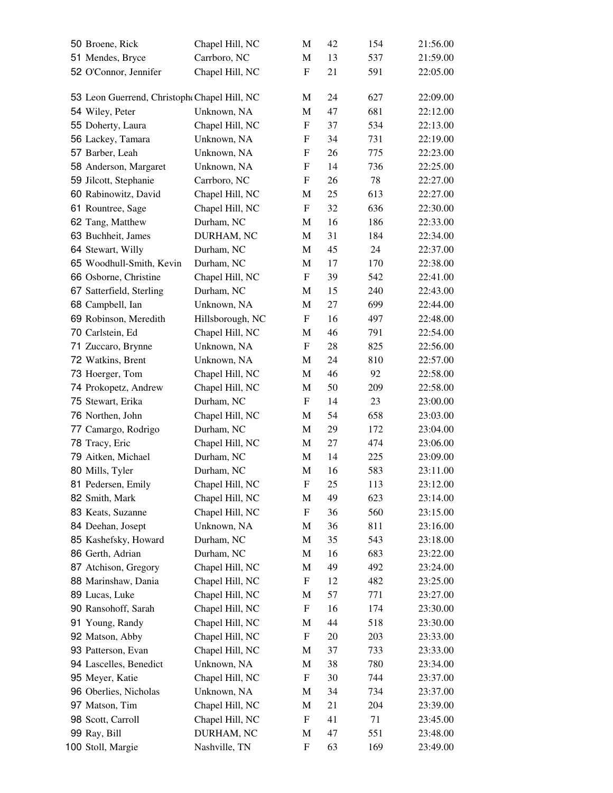| 50 Broene, Rick                             | Chapel Hill, NC               | М                         | 42       | 154        | 21:56.00             |
|---------------------------------------------|-------------------------------|---------------------------|----------|------------|----------------------|
| 51 Mendes, Bryce                            | Carrboro, NC                  | M                         | 13       | 537        | 21:59.00             |
| 52 O'Connor, Jennifer                       | Chapel Hill, NC               | ${\bf F}$                 | 21       | 591        | 22:05.00             |
|                                             |                               |                           |          |            |                      |
| 53 Leon Guerrend, Christoph Chapel Hill, NC |                               | М                         | 24       | 627        | 22:09.00             |
| 54 Wiley, Peter                             | Unknown, NA                   | M                         | 47       | 681        | 22:12.00             |
| 55 Doherty, Laura                           | Chapel Hill, NC               | F                         | 37       | 534        | 22:13.00             |
| 56 Lackey, Tamara                           | Unknown, NA                   | F                         | 34       | 731        | 22:19.00             |
| 57 Barber, Leah                             | Unknown, NA                   | F                         | 26       | 775        | 22:23.00             |
| 58 Anderson, Margaret                       | Unknown, NA                   | F                         | 14       | 736        | 22:25.00             |
| 59 Jilcott, Stephanie                       | Carrboro, NC                  | F                         | 26       | 78         | 22:27.00             |
| 60 Rabinowitz, David                        | Chapel Hill, NC               | M                         | 25       | 613        | 22:27.00             |
| 61 Rountree, Sage                           | Chapel Hill, NC               | F                         | 32       | 636        | 22:30.00             |
| 62 Tang, Matthew                            | Durham, NC                    | M                         | 16       | 186        | 22:33.00             |
| 63 Buchheit, James                          | DURHAM, NC                    | M                         | 31       | 184        | 22:34.00             |
| 64 Stewart, Willy                           | Durham, NC                    | M                         | 45       | 24         | 22:37.00             |
| 65 Woodhull-Smith, Kevin                    | Durham, NC                    | М                         | 17       | 170        | 22:38.00             |
| 66 Osborne, Christine                       | Chapel Hill, NC               | $\boldsymbol{\mathrm{F}}$ | 39       | 542        | 22:41.00             |
| 67 Satterfield, Sterling                    | Durham, NC                    | M                         | 15       | 240        | 22:43.00             |
| 68 Campbell, Ian                            | Unknown, NA                   | M                         | 27       | 699        | 22:44.00             |
| 69 Robinson, Meredith                       | Hillsborough, NC              | F                         | 16       | 497        | 22:48.00             |
| 70 Carlstein, Ed                            | Chapel Hill, NC               | M                         | 46       | 791        | 22:54.00             |
| 71 Zuccaro, Brynne                          | Unknown, NA                   | F                         | 28       | 825        | 22:56.00             |
| 72 Watkins, Brent                           | Unknown, NA                   | M                         | 24       | 810        | 22:57.00             |
| 73 Hoerger, Tom                             | Chapel Hill, NC               | M                         | 46       | 92         | 22:58.00             |
| 74 Prokopetz, Andrew                        | Chapel Hill, NC               | M                         | 50       | 209        | 22:58.00             |
| 75 Stewart, Erika                           | Durham, NC                    | F                         | 14       | 23         | 23:00.00             |
| 76 Northen, John                            | Chapel Hill, NC               |                           | 54       | 658        | 23:03.00             |
| 77 Camargo, Rodrigo                         | Durham, NC                    | M<br>M                    | 29       | 172        | 23:04.00             |
|                                             |                               |                           |          | 474        | 23:06.00             |
| 78 Tracy, Eric<br>79 Aitken, Michael        | Chapel Hill, NC<br>Durham, NC | M                         | 27       |            |                      |
|                                             | Durham, NC                    | M<br>M                    | 14<br>16 | 225<br>583 | 23:09.00<br>23:11.00 |
| 80 Mills, Tyler                             |                               | F                         | 25       |            | 23:12.00             |
| 81 Pedersen, Emily                          | Chapel Hill, NC               |                           |          | 113        |                      |
| 82 Smith, Mark                              | Chapel Hill, NC               | M                         | 49       | 623        | 23:14.00             |
| 83 Keats, Suzanne                           | Chapel Hill, NC               | F                         | 36       | 560        | 23:15.00             |
| 84 Deehan, Josept                           | Unknown, NA                   | M                         | 36       | 811        | 23:16.00             |
| 85 Kashefsky, Howard                        | Durham, NC                    | M                         | 35       | 543        | 23:18.00             |
| 86 Gerth, Adrian                            | Durham, NC                    | M                         | 16       | 683        | 23:22.00             |
| 87 Atchison, Gregory                        | Chapel Hill, NC               | M                         | 49       | 492        | 23:24.00             |
| 88 Marinshaw, Dania                         | Chapel Hill, NC               | F                         | 12       | 482        | 23:25.00             |
| 89 Lucas, Luke                              | Chapel Hill, NC               | M                         | 57       | 771        | 23:27.00             |
| 90 Ransohoff, Sarah                         | Chapel Hill, NC               | F                         | 16       | 174        | 23:30.00             |
| 91 Young, Randy                             | Chapel Hill, NC               | M                         | 44       | 518        | 23:30.00             |
| 92 Matson, Abby                             | Chapel Hill, NC               | ${\rm F}$                 | 20       | 203        | 23:33.00             |
| 93 Patterson, Evan                          | Chapel Hill, NC               | M                         | 37       | 733        | 23:33.00             |
| 94 Lascelles, Benedict                      | Unknown, NA                   | M                         | 38       | 780        | 23:34.00             |
| 95 Meyer, Katie                             | Chapel Hill, NC               | ${\rm F}$                 | 30       | 744        | 23:37.00             |
| 96 Oberlies, Nicholas                       | Unknown, NA                   | M                         | 34       | 734        | 23:37.00             |
| 97 Matson, Tim                              | Chapel Hill, NC               | M                         | 21       | 204        | 23:39.00             |
| 98 Scott, Carroll                           | Chapel Hill, NC               | ${\rm F}$                 | 41       | 71         | 23:45.00             |
| 99 Ray, Bill                                | DURHAM, NC                    | M                         | 47       | 551        | 23:48.00             |
| 100 Stoll, Margie                           | Nashville, TN                 | F                         | 63       | 169        | 23:49.00             |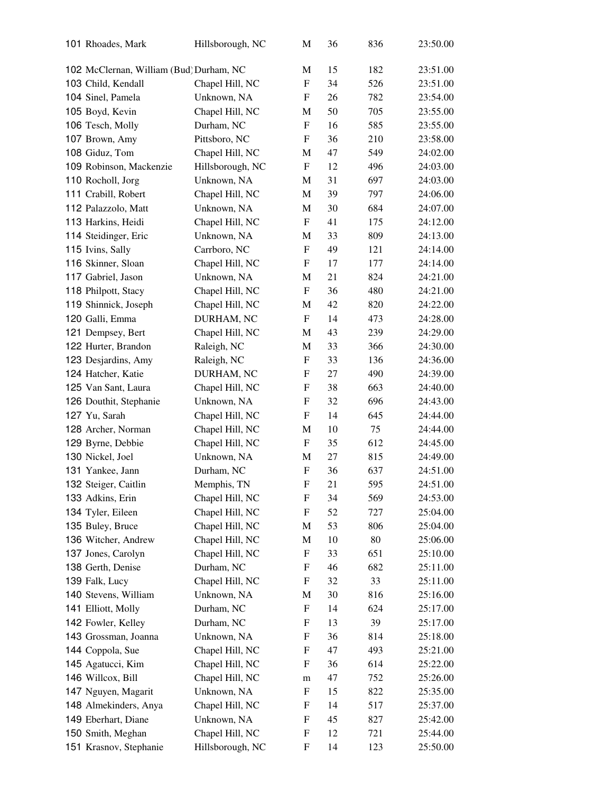| 101 Rhoades, Mark                       | Hillsborough, NC | М                         | 36 | 836 | 23:50.00 |
|-----------------------------------------|------------------|---------------------------|----|-----|----------|
| 102 McClernan, William (Bud) Durham, NC |                  | M                         | 15 | 182 | 23:51.00 |
| 103 Child, Kendall                      | Chapel Hill, NC  | F                         | 34 | 526 | 23:51.00 |
| 104 Sinel, Pamela                       | Unknown, NA      | F                         | 26 | 782 | 23:54.00 |
| 105 Boyd, Kevin                         | Chapel Hill, NC  | М                         | 50 | 705 | 23:55.00 |
| 106 Tesch, Molly                        | Durham, NC       | F                         | 16 | 585 | 23:55.00 |
| 107 Brown, Amy                          | Pittsboro, NC    | F                         | 36 | 210 | 23:58.00 |
| 108 Giduz, Tom                          | Chapel Hill, NC  | M                         | 47 | 549 | 24:02.00 |
| 109 Robinson, Mackenzie                 | Hillsborough, NC | $\boldsymbol{\mathrm{F}}$ | 12 | 496 | 24:03.00 |
| 110 Rocholl, Jorg                       | Unknown, NA      | M                         | 31 | 697 | 24:03.00 |
| 111 Crabill, Robert                     | Chapel Hill, NC  | M                         | 39 | 797 | 24:06.00 |
| 112 Palazzolo, Matt                     | Unknown, NA      | M                         | 30 | 684 | 24:07.00 |
| 113 Harkins, Heidi                      | Chapel Hill, NC  | F                         | 41 | 175 | 24:12.00 |
| 114 Steidinger, Eric                    | Unknown, NA      | M                         | 33 | 809 | 24:13.00 |
| 115 Ivins, Sally                        | Carrboro, NC     | F                         | 49 | 121 | 24:14.00 |
| 116 Skinner, Sloan                      | Chapel Hill, NC  | F                         | 17 | 177 | 24:14.00 |
| 117 Gabriel, Jason                      | Unknown, NA      | M                         | 21 | 824 | 24:21.00 |
| 118 Philpott, Stacy                     | Chapel Hill, NC  | F                         | 36 | 480 | 24:21.00 |
| 119 Shinnick, Joseph                    | Chapel Hill, NC  | M                         | 42 | 820 | 24:22.00 |
| 120 Galli, Emma                         | DURHAM, NC       | F                         | 14 | 473 | 24:28.00 |
| 121 Dempsey, Bert                       | Chapel Hill, NC  | M                         | 43 | 239 | 24:29.00 |
| 122 Hurter, Brandon                     | Raleigh, NC      | M                         | 33 | 366 | 24:30.00 |
| 123 Desjardins, Amy                     | Raleigh, NC      | F                         | 33 | 136 | 24:36.00 |
| 124 Hatcher, Katie                      | DURHAM, NC       | F                         | 27 | 490 | 24:39.00 |
| 125 Van Sant, Laura                     | Chapel Hill, NC  | F                         | 38 | 663 | 24:40.00 |
| 126 Douthit, Stephanie                  | Unknown, NA      | F                         | 32 | 696 | 24:43.00 |
| 127 Yu, Sarah                           | Chapel Hill, NC  | F                         | 14 | 645 | 24:44.00 |
| 128 Archer, Norman                      | Chapel Hill, NC  | M                         | 10 | 75  | 24:44.00 |
| 129 Byrne, Debbie                       | Chapel Hill, NC  | F                         | 35 | 612 | 24:45.00 |
| 130 Nickel, Joel                        | Unknown, NA      | М                         | 27 | 815 | 24:49.00 |
| 131 Yankee, Jann                        | Durham, NC       | ${\bf F}$                 | 36 | 637 | 24:51.00 |
| 132 Steiger, Caitlin                    | Memphis, TN      | ${\rm F}$                 | 21 | 595 | 24:51.00 |
| 133 Adkins, Erin                        | Chapel Hill, NC  | F                         | 34 | 569 | 24:53.00 |
| 134 Tyler, Eileen                       | Chapel Hill, NC  | $\boldsymbol{F}$          | 52 | 727 | 25:04.00 |
| 135 Buley, Bruce                        | Chapel Hill, NC  | M                         | 53 | 806 | 25:04.00 |
| 136 Witcher, Andrew                     | Chapel Hill, NC  | M                         | 10 | 80  | 25:06.00 |
| 137 Jones, Carolyn                      | Chapel Hill, NC  | F                         | 33 | 651 | 25:10.00 |
| 138 Gerth, Denise                       | Durham, NC       | F                         | 46 | 682 | 25:11.00 |
| 139 Falk, Lucy                          | Chapel Hill, NC  | $\boldsymbol{F}$          | 32 | 33  | 25:11.00 |
| 140 Stevens, William                    | Unknown, NA      | M                         | 30 | 816 | 25:16.00 |
| 141 Elliott, Molly                      | Durham, NC       | F                         | 14 | 624 | 25:17.00 |
| 142 Fowler, Kelley                      | Durham, NC       | F                         | 13 | 39  | 25:17.00 |
| 143 Grossman, Joanna                    | Unknown, NA      | F                         | 36 | 814 | 25:18.00 |
| 144 Coppola, Sue                        | Chapel Hill, NC  | F                         | 47 | 493 | 25:21.00 |
| 145 Agatucci, Kim                       | Chapel Hill, NC  | F                         | 36 | 614 | 25:22.00 |
| 146 Willcox, Bill                       | Chapel Hill, NC  | m                         | 47 | 752 | 25:26.00 |
| 147 Nguyen, Magarit                     | Unknown, NA      | F                         | 15 | 822 | 25:35.00 |
| 148 Almekinders, Anya                   | Chapel Hill, NC  | F                         | 14 | 517 | 25:37.00 |
| 149 Eberhart, Diane                     | Unknown, NA      | $\boldsymbol{F}$          | 45 | 827 | 25:42.00 |
| 150 Smith, Meghan                       | Chapel Hill, NC  | F                         | 12 | 721 | 25:44.00 |
| 151 Krasnov, Stephanie                  | Hillsborough, NC | F                         | 14 | 123 | 25:50.00 |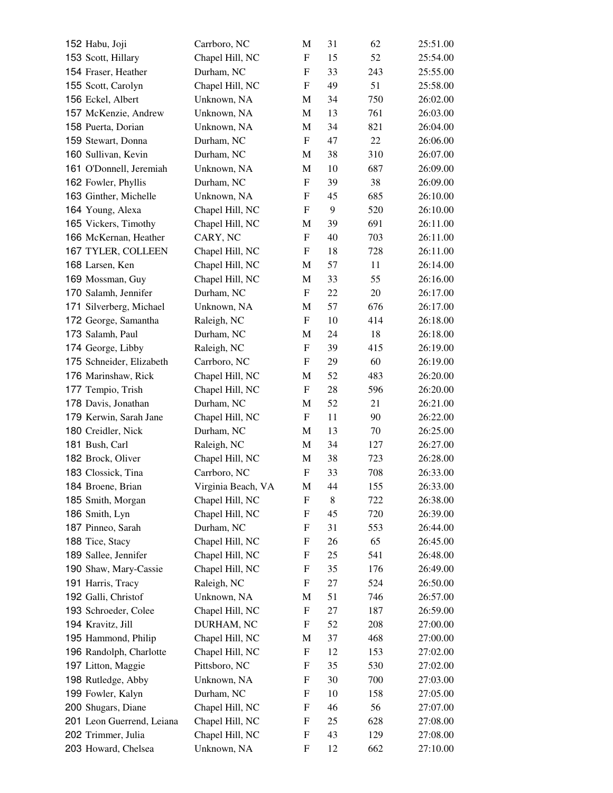| 152 Habu, Joji            | Carrboro, NC       | М                         | 31 | 62  | 25:51.00 |
|---------------------------|--------------------|---------------------------|----|-----|----------|
| 153 Scott, Hillary        | Chapel Hill, NC    | $\mathbf F$               | 15 | 52  | 25:54.00 |
| 154 Fraser, Heather       | Durham, NC         | F                         | 33 | 243 | 25:55.00 |
| 155 Scott, Carolyn        | Chapel Hill, NC    | ${\rm F}$                 | 49 | 51  | 25:58.00 |
| 156 Eckel, Albert         | Unknown, NA        | M                         | 34 | 750 | 26:02.00 |
| 157 McKenzie, Andrew      | Unknown, NA        | M                         | 13 | 761 | 26:03.00 |
| 158 Puerta, Dorian        | Unknown, NA        | M                         | 34 | 821 | 26:04.00 |
| 159 Stewart, Donna        | Durham, NC         | F                         | 47 | 22  | 26:06.00 |
| 160 Sullivan, Kevin       | Durham, NC         | M                         | 38 | 310 | 26:07.00 |
| 161 O'Donnell, Jeremiah   | Unknown, NA        | M                         | 10 | 687 | 26:09.00 |
| 162 Fowler, Phyllis       | Durham, NC         | F                         | 39 | 38  | 26:09.00 |
| 163 Ginther, Michelle     | Unknown, NA        | $\mathbf F$               | 45 | 685 | 26:10.00 |
| 164 Young, Alexa          | Chapel Hill, NC    | F                         | 9  | 520 | 26:10.00 |
| 165 Vickers, Timothy      | Chapel Hill, NC    | M                         | 39 | 691 | 26:11.00 |
| 166 McKernan, Heather     | CARY, NC           | F                         | 40 | 703 | 26:11.00 |
| 167 TYLER, COLLEEN        | Chapel Hill, NC    | F                         | 18 | 728 | 26:11.00 |
| 168 Larsen, Ken           | Chapel Hill, NC    | M                         | 57 | 11  | 26:14.00 |
| 169 Mossman, Guy          | Chapel Hill, NC    | M                         | 33 | 55  | 26:16.00 |
| 170 Salamh, Jennifer      | Durham, NC         | F                         | 22 | 20  | 26:17.00 |
| 171 Silverberg, Michael   | Unknown, NA        | M                         | 57 | 676 | 26:17.00 |
| 172 George, Samantha      | Raleigh, NC        | F                         | 10 | 414 | 26:18.00 |
| 173 Salamh, Paul          | Durham, NC         | M                         | 24 | 18  | 26:18.00 |
| 174 George, Libby         | Raleigh, NC        | F                         | 39 | 415 | 26:19.00 |
| 175 Schneider, Elizabeth  | Carrboro, NC       | $\boldsymbol{\mathrm{F}}$ | 29 | 60  | 26:19.00 |
| 176 Marinshaw, Rick       | Chapel Hill, NC    | M                         | 52 | 483 | 26:20.00 |
| 177 Tempio, Trish         | Chapel Hill, NC    | F                         | 28 | 596 | 26:20.00 |
| 178 Davis, Jonathan       | Durham, NC         | M                         | 52 | 21  | 26:21.00 |
| 179 Kerwin, Sarah Jane    | Chapel Hill, NC    | F                         | 11 | 90  | 26:22.00 |
| 180 Creidler, Nick        | Durham, NC         | M                         | 13 | 70  | 26:25.00 |
| 181 Bush, Carl            | Raleigh, NC        | M                         | 34 | 127 | 26:27.00 |
| 182 Brock, Oliver         | Chapel Hill, NC    | M                         | 38 | 723 | 26:28.00 |
| 183 Clossick, Tina        | Carrboro, NC       | F                         | 33 | 708 | 26:33.00 |
| 184 Broene, Brian         | Virginia Beach, VA | M                         | 44 | 155 | 26:33.00 |
| 185 Smith, Morgan         | Chapel Hill, NC    | F                         | 8  | 722 | 26:38.00 |
| 186 Smith, Lyn            | Chapel Hill, NC    | F                         | 45 | 720 | 26:39.00 |
| 187 Pinneo, Sarah         | Durham, NC         | F                         | 31 | 553 | 26:44.00 |
| 188 Tice, Stacy           | Chapel Hill, NC    | F                         | 26 | 65  | 26:45.00 |
| 189 Sallee, Jennifer      | Chapel Hill, NC    | F                         | 25 | 541 | 26:48.00 |
| 190 Shaw, Mary-Cassie     | Chapel Hill, NC    | ${\rm F}$                 | 35 | 176 | 26:49.00 |
| 191 Harris, Tracy         | Raleigh, NC        | F                         | 27 | 524 | 26:50.00 |
| 192 Galli, Christof       | Unknown, NA        | M                         | 51 | 746 | 26:57.00 |
| 193 Schroeder, Colee      | Chapel Hill, NC    | F                         | 27 | 187 | 26:59.00 |
| 194 Kravitz, Jill         | DURHAM, NC         | F                         | 52 | 208 | 27:00.00 |
| 195 Hammond, Philip       | Chapel Hill, NC    | M                         | 37 | 468 | 27:00.00 |
| 196 Randolph, Charlotte   | Chapel Hill, NC    | F                         | 12 | 153 | 27:02.00 |
| 197 Litton, Maggie        | Pittsboro, NC      | F                         | 35 | 530 | 27:02.00 |
| 198 Rutledge, Abby        | Unknown, NA        | ${\rm F}$                 | 30 | 700 | 27:03.00 |
| 199 Fowler, Kalyn         | Durham, NC         | F                         | 10 | 158 | 27:05.00 |
| 200 Shugars, Diane        | Chapel Hill, NC    | F                         | 46 | 56  | 27:07.00 |
| 201 Leon Guerrend, Leiana | Chapel Hill, NC    | ${\rm F}$                 | 25 | 628 | 27:08.00 |
| 202 Trimmer, Julia        | Chapel Hill, NC    | F                         | 43 | 129 | 27:08.00 |
| 203 Howard, Chelsea       | Unknown, NA        | ${\rm F}$                 | 12 | 662 | 27:10.00 |
|                           |                    |                           |    |     |          |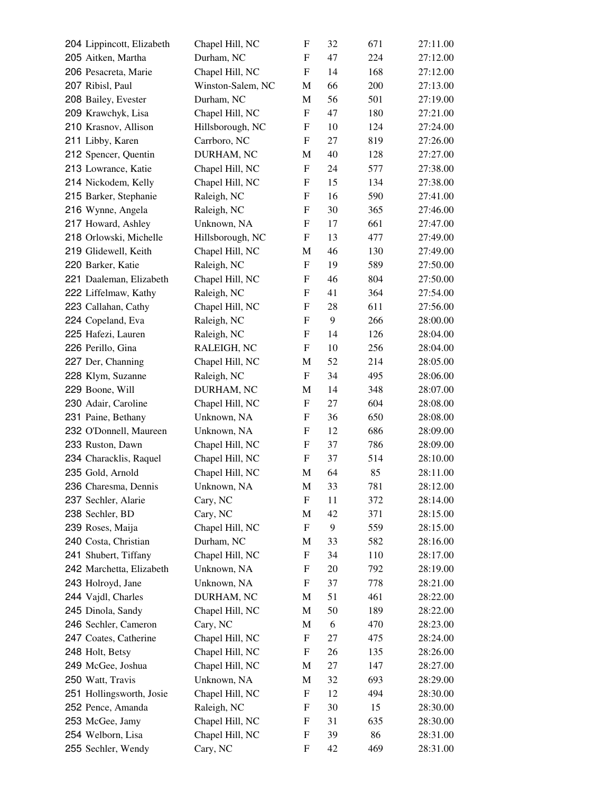| 204 Lippincott, Elizabeth | Chapel Hill, NC   | F                         | 32 | 671 | 27:11.00 |
|---------------------------|-------------------|---------------------------|----|-----|----------|
| 205 Aitken, Martha        | Durham, NC        | F                         | 47 | 224 | 27:12.00 |
| 206 Pesacreta, Marie      | Chapel Hill, NC   | F                         | 14 | 168 | 27:12.00 |
| 207 Ribisl, Paul          | Winston-Salem, NC | M                         | 66 | 200 | 27:13.00 |
| 208 Bailey, Evester       | Durham, NC        | M                         | 56 | 501 | 27:19.00 |
| 209 Krawchyk, Lisa        | Chapel Hill, NC   | F                         | 47 | 180 | 27:21.00 |
| 210 Krasnov, Allison      | Hillsborough, NC  | F                         | 10 | 124 | 27:24.00 |
| 211 Libby, Karen          | Carrboro, NC      | F                         | 27 | 819 | 27:26.00 |
| 212 Spencer, Quentin      | DURHAM, NC        | M                         | 40 | 128 | 27:27.00 |
| 213 Lowrance, Katie       | Chapel Hill, NC   | $\boldsymbol{\mathrm{F}}$ | 24 | 577 | 27:38.00 |
| 214 Nickodem, Kelly       | Chapel Hill, NC   | F                         | 15 | 134 | 27:38.00 |
| 215 Barker, Stephanie     | Raleigh, NC       | F                         | 16 | 590 | 27:41.00 |
| 216 Wynne, Angela         | Raleigh, NC       | ${\bf F}$                 | 30 | 365 | 27:46.00 |
| 217 Howard, Ashley        | Unknown, NA       | F                         | 17 | 661 | 27:47.00 |
| 218 Orlowski, Michelle    | Hillsborough, NC  | F                         | 13 | 477 | 27:49.00 |
| 219 Glidewell, Keith      | Chapel Hill, NC   | M                         | 46 | 130 | 27:49.00 |
| 220 Barker, Katie         | Raleigh, NC       | $\boldsymbol{\mathrm{F}}$ | 19 | 589 | 27:50.00 |
| 221 Daaleman, Elizabeth   | Chapel Hill, NC   | F                         | 46 | 804 | 27:50.00 |
| 222 Liffelmaw, Kathy      | Raleigh, NC       | F                         | 41 | 364 | 27:54.00 |
| 223 Callahan, Cathy       | Chapel Hill, NC   | ${\bf F}$                 | 28 | 611 | 27:56.00 |
| 224 Copeland, Eva         | Raleigh, NC       | F                         | 9  | 266 | 28:00.00 |
| 225 Hafezi, Lauren        | Raleigh, NC       | F                         | 14 | 126 | 28:04.00 |
| 226 Perillo, Gina         | RALEIGH, NC       | F                         | 10 | 256 | 28:04.00 |
| 227 Der, Channing         | Chapel Hill, NC   | M                         | 52 | 214 | 28:05.00 |
| 228 Klym, Suzanne         | Raleigh, NC       | F                         | 34 | 495 | 28:06.00 |
| 229 Boone, Will           | DURHAM, NC        | M                         | 14 | 348 | 28:07.00 |
| 230 Adair, Caroline       | Chapel Hill, NC   | F                         | 27 | 604 | 28:08.00 |
| 231 Paine, Bethany        | Unknown, NA       | F                         | 36 | 650 | 28:08.00 |
| 232 O'Donnell, Maureen    | Unknown, NA       | F                         | 12 | 686 | 28:09.00 |
| 233 Ruston, Dawn          | Chapel Hill, NC   | F                         | 37 | 786 | 28:09.00 |
| 234 Characklis, Raquel    | Chapel Hill, NC   | F                         | 37 | 514 | 28:10.00 |
| 235 Gold, Arnold          | Chapel Hill, NC   | M                         | 64 | 85  | 28:11.00 |
| 236 Charesma, Dennis      | Unknown, NA       | M                         | 33 | 781 | 28:12.00 |
| 237 Sechler, Alarie       | Cary, NC          | F                         | 11 | 372 | 28:14.00 |
| 238 Sechler, BD           | Cary, NC          | M                         | 42 | 371 | 28:15.00 |
| 239 Roses, Maija          | Chapel Hill, NC   | F                         | 9  | 559 | 28:15.00 |
| 240 Costa, Christian      | Durham, NC        | M                         | 33 | 582 | 28:16.00 |
| 241 Shubert, Tiffany      | Chapel Hill, NC   | F                         | 34 | 110 | 28:17.00 |
| 242 Marchetta, Elizabeth  | Unknown, NA       | F                         | 20 | 792 | 28:19.00 |
| 243 Holroyd, Jane         | Unknown, NA       | F                         | 37 | 778 | 28:21.00 |
| 244 Vajdl, Charles        | DURHAM, NC        | M                         | 51 | 461 | 28:22.00 |
| 245 Dinola, Sandy         | Chapel Hill, NC   | М                         | 50 | 189 | 28:22.00 |
| 246 Sechler, Cameron      | Cary, NC          | M                         | 6  | 470 | 28:23.00 |
| 247 Coates, Catherine     | Chapel Hill, NC   | F                         | 27 | 475 | 28:24.00 |
| 248 Holt, Betsy           | Chapel Hill, NC   | F                         | 26 | 135 | 28:26.00 |
| 249 McGee, Joshua         | Chapel Hill, NC   | M                         | 27 | 147 | 28:27.00 |
| 250 Watt, Travis          | Unknown, NA       | M                         | 32 | 693 | 28:29.00 |
| 251 Hollingsworth, Josie  | Chapel Hill, NC   | F                         | 12 | 494 | 28:30.00 |
| 252 Pence, Amanda         | Raleigh, NC       | F                         | 30 | 15  | 28:30.00 |
| 253 McGee, Jamy           | Chapel Hill, NC   | F                         | 31 | 635 | 28:30.00 |
| 254 Welborn, Lisa         | Chapel Hill, NC   | F                         | 39 | 86  | 28:31.00 |
| 255 Sechler, Wendy        | Cary, NC          | F                         | 42 | 469 | 28:31.00 |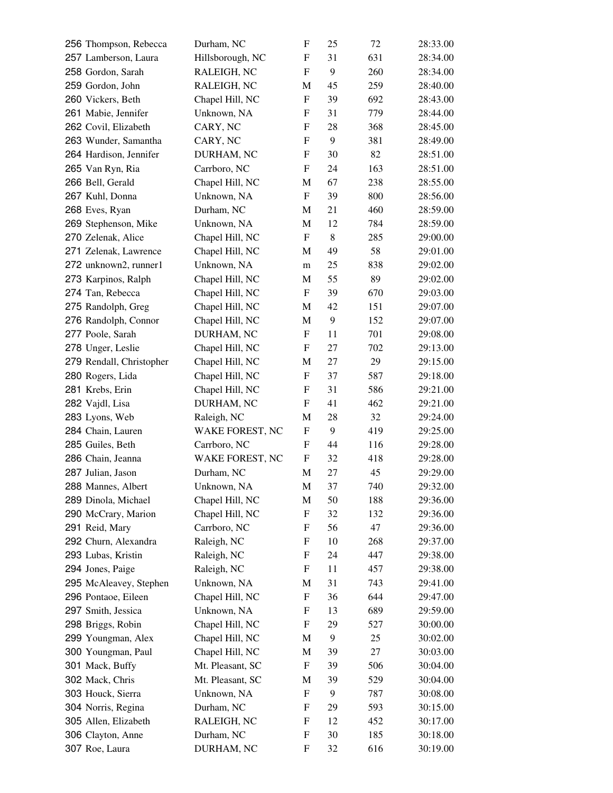| 256 Thompson, Rebecca    | Durham, NC       | F | 25 | 72  | 28:33.00 |
|--------------------------|------------------|---|----|-----|----------|
| 257 Lamberson, Laura     | Hillsborough, NC | F | 31 | 631 | 28:34.00 |
| 258 Gordon, Sarah        | RALEIGH, NC      | F | 9  | 260 | 28:34.00 |
| 259 Gordon, John         | RALEIGH, NC      | M | 45 | 259 | 28:40.00 |
| 260 Vickers, Beth        | Chapel Hill, NC  | F | 39 | 692 | 28:43.00 |
| 261 Mabie, Jennifer      | Unknown, NA      | F | 31 | 779 | 28:44.00 |
| 262 Covil, Elizabeth     | CARY, NC         | F | 28 | 368 | 28:45.00 |
| 263 Wunder, Samantha     | CARY, NC         | F | 9  | 381 | 28:49.00 |
| 264 Hardison, Jennifer   | DURHAM, NC       | F | 30 | 82  | 28:51.00 |
| 265 Van Ryn, Ria         | Carrboro, NC     | F | 24 | 163 | 28:51.00 |
| 266 Bell, Gerald         | Chapel Hill, NC  | M | 67 | 238 | 28:55.00 |
| 267 Kuhl, Donna          | Unknown, NA      | F | 39 | 800 | 28:56.00 |
| 268 Eves, Ryan           | Durham, NC       | M | 21 | 460 | 28:59.00 |
| 269 Stephenson, Mike     | Unknown, NA      | M | 12 | 784 | 28:59.00 |
| 270 Zelenak, Alice       | Chapel Hill, NC  | F | 8  | 285 | 29:00.00 |
| 271 Zelenak, Lawrence    | Chapel Hill, NC  | M | 49 | 58  | 29:01.00 |
| 272 unknown2, runner1    | Unknown, NA      | m | 25 | 838 | 29:02.00 |
| 273 Karpinos, Ralph      | Chapel Hill, NC  | M | 55 | 89  | 29:02.00 |
| 274 Tan, Rebecca         | Chapel Hill, NC  | F | 39 | 670 | 29:03.00 |
| 275 Randolph, Greg       | Chapel Hill, NC  | M | 42 | 151 | 29:07.00 |
| 276 Randolph, Connor     | Chapel Hill, NC  | M | 9  | 152 | 29:07.00 |
| 277 Poole, Sarah         | DURHAM, NC       | F | 11 | 701 | 29:08.00 |
| 278 Unger, Leslie        | Chapel Hill, NC  | F | 27 | 702 | 29:13.00 |
| 279 Rendall, Christopher | Chapel Hill, NC  | M | 27 | 29  | 29:15.00 |
| 280 Rogers, Lida         | Chapel Hill, NC  | F | 37 | 587 | 29:18.00 |
| 281 Krebs, Erin          | Chapel Hill, NC  | F | 31 | 586 | 29:21.00 |
| 282 Vajdl, Lisa          | DURHAM, NC       | F | 41 | 462 | 29:21.00 |
| 283 Lyons, Web           | Raleigh, NC      | М | 28 | 32  | 29:24.00 |
| 284 Chain, Lauren        | WAKE FOREST, NC  | F | 9  | 419 | 29:25.00 |
| 285 Guiles, Beth         | Carrboro, NC     | F | 44 | 116 | 29:28.00 |
| 286 Chain, Jeanna        | WAKE FOREST, NC  | F | 32 | 418 | 29:28.00 |
| 287 Julian, Jason        | Durham, NC       | M | 27 | 45  | 29:29.00 |
| 288 Mannes, Albert       | Unknown, NA      | M | 37 | 740 | 29:32.00 |
| 289 Dinola, Michael      | Chapel Hill, NC  | М | 50 | 188 | 29:36.00 |
| 290 McCrary, Marion      | Chapel Hill, NC  | F | 32 | 132 | 29:36.00 |
| 291 Reid, Mary           | Carrboro, NC     | F | 56 | 47  | 29:36.00 |
| 292 Churn, Alexandra     | Raleigh, NC      | F | 10 | 268 | 29:37.00 |
| 293 Lubas, Kristin       | Raleigh, NC      | F | 24 | 447 | 29:38.00 |
| 294 Jones, Paige         | Raleigh, NC      |   | 11 | 457 | 29:38.00 |
| 295 McAleavey, Stephen   |                  | F | 31 |     |          |
|                          | Unknown, NA      | M |    | 743 | 29:41.00 |
| 296 Pontaoe, Eileen      | Chapel Hill, NC  | F | 36 | 644 | 29:47.00 |
| 297 Smith, Jessica       | Unknown, NA      | F | 13 | 689 | 29:59.00 |
| 298 Briggs, Robin        | Chapel Hill, NC  | F | 29 | 527 | 30:00.00 |
| 299 Youngman, Alex       | Chapel Hill, NC  | M | 9  | 25  | 30:02.00 |
| 300 Youngman, Paul       | Chapel Hill, NC  | М | 39 | 27  | 30:03.00 |
| 301 Mack, Buffy          | Mt. Pleasant, SC | F | 39 | 506 | 30:04.00 |
| 302 Mack, Chris          | Mt. Pleasant, SC | М | 39 | 529 | 30:04.00 |
| 303 Houck, Sierra        | Unknown, NA      | F | 9  | 787 | 30:08.00 |
| 304 Norris, Regina       | Durham, NC       | F | 29 | 593 | 30:15.00 |
| 305 Allen, Elizabeth     | RALEIGH, NC      | F | 12 | 452 | 30:17.00 |
| 306 Clayton, Anne        | Durham, NC       | F | 30 | 185 | 30:18.00 |
| 307 Roe, Laura           | DURHAM, NC       | F | 32 | 616 | 30:19.00 |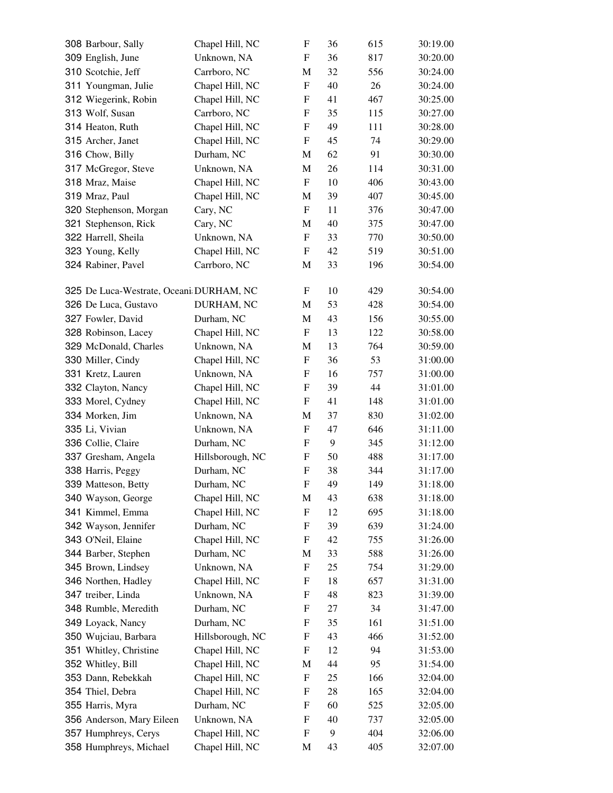| 308 Barbour, Sally                      | Chapel Hill, NC  | F                         | 36 | 615 | 30:19.00 |
|-----------------------------------------|------------------|---------------------------|----|-----|----------|
| 309 English, June                       | Unknown, NA      | F                         | 36 | 817 | 30:20.00 |
| 310 Scotchie, Jeff                      | Carrboro, NC     | M                         | 32 | 556 | 30:24.00 |
| 311 Youngman, Julie                     | Chapel Hill, NC  | F                         | 40 | 26  | 30:24.00 |
| 312 Wiegerink, Robin                    | Chapel Hill, NC  | F                         | 41 | 467 | 30:25.00 |
| 313 Wolf, Susan                         | Carrboro, NC     | F                         | 35 | 115 | 30:27.00 |
| 314 Heaton, Ruth                        | Chapel Hill, NC  | $\boldsymbol{\mathrm{F}}$ | 49 | 111 | 30:28.00 |
| 315 Archer, Janet                       | Chapel Hill, NC  | F                         | 45 | 74  | 30:29.00 |
| 316 Chow, Billy                         | Durham, NC       | M                         | 62 | 91  | 30:30.00 |
| 317 McGregor, Steve                     | Unknown, NA      | M                         | 26 | 114 | 30:31.00 |
| 318 Mraz, Maise                         | Chapel Hill, NC  | F                         | 10 | 406 | 30:43.00 |
| 319 Mraz, Paul                          | Chapel Hill, NC  | M                         | 39 | 407 | 30:45.00 |
| 320 Stephenson, Morgan                  | Cary, NC         | $\boldsymbol{\mathrm{F}}$ | 11 | 376 | 30:47.00 |
| 321 Stephenson, Rick                    | Cary, NC         | M                         | 40 | 375 | 30:47.00 |
| 322 Harrell, Sheila                     | Unknown, NA      | F                         | 33 | 770 | 30:50.00 |
| 323 Young, Kelly                        | Chapel Hill, NC  | F                         | 42 | 519 | 30:51.00 |
| 324 Rabiner, Pavel                      | Carrboro, NC     | M                         | 33 | 196 | 30:54.00 |
|                                         |                  |                           |    |     |          |
| 325 De Luca-Westrate, Oceani DURHAM, NC |                  | F                         | 10 | 429 | 30:54.00 |
| 326 De Luca, Gustavo                    | DURHAM, NC       | M                         | 53 | 428 | 30:54.00 |
| 327 Fowler, David                       | Durham, NC       | M                         | 43 | 156 | 30:55.00 |
| 328 Robinson, Lacey                     | Chapel Hill, NC  | F                         | 13 | 122 | 30:58.00 |
| 329 McDonald, Charles                   | Unknown, NA      | M                         | 13 | 764 | 30:59.00 |
| 330 Miller, Cindy                       | Chapel Hill, NC  | $\boldsymbol{\mathrm{F}}$ | 36 | 53  | 31:00.00 |
| 331 Kretz, Lauren                       | Unknown, NA      | F                         | 16 | 757 | 31:00.00 |
| 332 Clayton, Nancy                      | Chapel Hill, NC  | $\boldsymbol{\mathrm{F}}$ | 39 | 44  | 31:01.00 |
| 333 Morel, Cydney                       | Chapel Hill, NC  | F                         | 41 | 148 | 31:01.00 |
| 334 Morken, Jim                         | Unknown, NA      | M                         | 37 | 830 | 31:02.00 |
| 335 Li, Vivian                          | Unknown, NA      | F                         | 47 | 646 | 31:11.00 |
| 336 Collie, Claire                      | Durham, NC       | F                         | 9  | 345 | 31:12.00 |
| 337 Gresham, Angela                     | Hillsborough, NC | F                         | 50 | 488 | 31:17.00 |
| 338 Harris, Peggy                       | Durham, NC       | $\boldsymbol{\mathrm{F}}$ | 38 | 344 | 31:17.00 |
| 339 Matteson, Betty                     | Durham, NC       | F                         | 49 | 149 | 31:18.00 |
| 340 Wayson, George                      | Chapel Hill, NC  | M                         | 43 | 638 | 31:18.00 |
| 341 Kimmel, Emma                        | Chapel Hill, NC  | F                         | 12 | 695 | 31:18.00 |
| 342 Wayson, Jennifer                    | Durham, NC       | F                         | 39 | 639 | 31:24.00 |
| 343 O'Neil, Elaine                      | Chapel Hill, NC  | F                         | 42 | 755 | 31:26.00 |
| 344 Barber, Stephen                     | Durham, NC       | M                         | 33 | 588 | 31:26.00 |
| 345 Brown, Lindsey                      | Unknown, NA      | F                         | 25 | 754 | 31:29.00 |
| 346 Northen, Hadley                     | Chapel Hill, NC  | F                         | 18 | 657 | 31:31.00 |
| 347 treiber, Linda                      | Unknown, NA      | F                         | 48 | 823 | 31:39.00 |
| 348 Rumble, Meredith                    | Durham, NC       | F                         | 27 | 34  | 31:47.00 |
| 349 Loyack, Nancy                       | Durham, NC       | F                         | 35 | 161 | 31:51.00 |
| 350 Wujciau, Barbara                    | Hillsborough, NC | F                         | 43 | 466 | 31:52.00 |
| 351 Whitley, Christine                  | Chapel Hill, NC  | F                         | 12 | 94  | 31:53.00 |
| 352 Whitley, Bill                       | Chapel Hill, NC  | M                         | 44 | 95  | 31:54.00 |
| 353 Dann, Rebekkah                      | Chapel Hill, NC  | ${\rm F}$                 | 25 | 166 | 32:04.00 |
| 354 Thiel, Debra                        | Chapel Hill, NC  | F                         | 28 | 165 | 32:04.00 |
| 355 Harris, Myra                        | Durham, NC       | F                         | 60 | 525 | 32:05.00 |
| 356 Anderson, Mary Eileen               | Unknown, NA      | F                         | 40 | 737 | 32:05.00 |
| 357 Humphreys, Cerys                    | Chapel Hill, NC  | F                         | 9  | 404 | 32:06.00 |
| 358 Humphreys, Michael                  | Chapel Hill, NC  | M                         | 43 | 405 | 32:07.00 |
|                                         |                  |                           |    |     |          |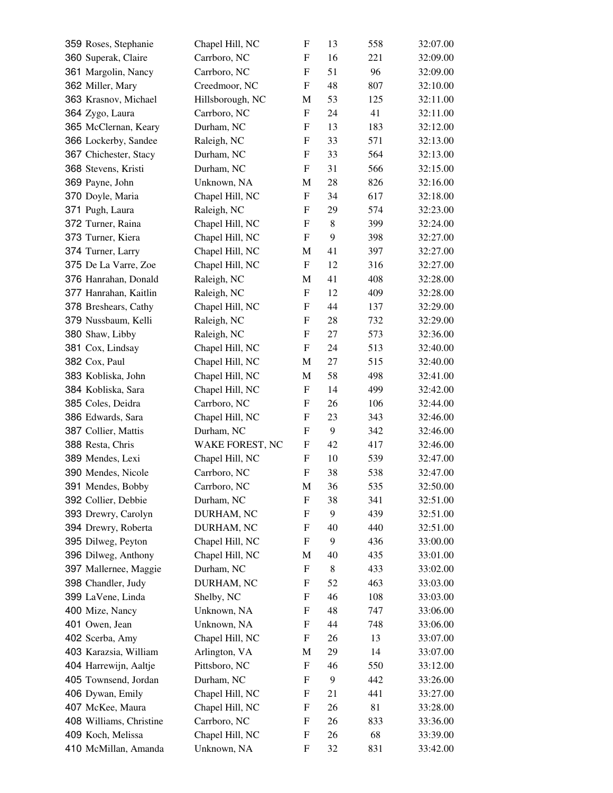| 359 Roses, Stephanie    | Chapel Hill, NC  | F                         | 13 | 558 | 32:07.00 |
|-------------------------|------------------|---------------------------|----|-----|----------|
| 360 Superak, Claire     | Carrboro, NC     | F                         | 16 | 221 | 32:09.00 |
| 361 Margolin, Nancy     | Carrboro, NC     | F                         | 51 | 96  | 32:09.00 |
| 362 Miller, Mary        | Creedmoor, NC    | F                         | 48 | 807 | 32:10.00 |
| 363 Krasnov, Michael    | Hillsborough, NC | М                         | 53 | 125 | 32:11.00 |
| 364 Zygo, Laura         | Carrboro, NC     | F                         | 24 | 41  | 32:11.00 |
| 365 McClernan, Keary    | Durham, NC       | F                         | 13 | 183 | 32:12.00 |
| 366 Lockerby, Sandee    | Raleigh, NC      | F                         | 33 | 571 | 32:13.00 |
| 367 Chichester, Stacy   | Durham, NC       | F                         | 33 | 564 | 32:13.00 |
| 368 Stevens, Kristi     | Durham, NC       | $\boldsymbol{\mathrm{F}}$ | 31 | 566 | 32:15.00 |
| 369 Payne, John         | Unknown, NA      | M                         | 28 | 826 | 32:16.00 |
| 370 Doyle, Maria        | Chapel Hill, NC  | F                         | 34 | 617 | 32:18.00 |
| 371 Pugh, Laura         | Raleigh, NC      | F                         | 29 | 574 | 32:23.00 |
| 372 Turner, Raina       | Chapel Hill, NC  | F                         | 8  | 399 | 32:24.00 |
| 373 Turner, Kiera       | Chapel Hill, NC  | F                         | 9  | 398 | 32:27.00 |
| 374 Turner, Larry       | Chapel Hill, NC  | M                         | 41 | 397 | 32:27.00 |
| 375 De La Varre, Zoe    | Chapel Hill, NC  | $\boldsymbol{\mathrm{F}}$ | 12 | 316 | 32:27.00 |
| 376 Hanrahan, Donald    | Raleigh, NC      | M                         | 41 | 408 | 32:28.00 |
| 377 Hanrahan, Kaitlin   | Raleigh, NC      | F                         | 12 | 409 | 32:28.00 |
| 378 Breshears, Cathy    | Chapel Hill, NC  | F                         | 44 | 137 | 32:29.00 |
| 379 Nussbaum, Kelli     | Raleigh, NC      | F                         | 28 | 732 | 32:29.00 |
| 380 Shaw, Libby         | Raleigh, NC      | F                         | 27 | 573 | 32:36.00 |
| 381 Cox, Lindsay        | Chapel Hill, NC  | F                         | 24 | 513 | 32:40.00 |
| 382 Cox, Paul           | Chapel Hill, NC  | M                         | 27 | 515 | 32:40.00 |
| 383 Kobliska, John      | Chapel Hill, NC  | M                         | 58 | 498 | 32:41.00 |
| 384 Kobliska, Sara      | Chapel Hill, NC  | F                         | 14 | 499 | 32:42.00 |
| 385 Coles, Deidra       | Carrboro, NC     | F                         | 26 | 106 | 32:44.00 |
| 386 Edwards, Sara       | Chapel Hill, NC  | F                         | 23 | 343 | 32:46.00 |
| 387 Collier, Mattis     | Durham, NC       | F                         | 9  | 342 | 32:46.00 |
| 388 Resta, Chris        | WAKE FOREST, NC  | F                         | 42 | 417 | 32:46.00 |
| 389 Mendes, Lexi        | Chapel Hill, NC  | F                         | 10 | 539 | 32:47.00 |
| 390 Mendes, Nicole      | Carrboro, NC     | $\boldsymbol{\mathrm{F}}$ | 38 | 538 | 32:47.00 |
| 391 Mendes, Bobby       | Carrboro, NC     | M                         | 36 | 535 | 32:50.00 |
| 392 Collier, Debbie     | Durham, NC       | F                         | 38 | 341 | 32:51.00 |
| 393 Drewry, Carolyn     | DURHAM, NC       | F                         | 9  | 439 | 32:51.00 |
| 394 Drewry, Roberta     | DURHAM, NC       | F                         | 40 | 440 | 32:51.00 |
| 395 Dilweg, Peyton      | Chapel Hill, NC  | F                         | 9  | 436 | 33:00.00 |
| 396 Dilweg, Anthony     | Chapel Hill, NC  | М                         | 40 | 435 | 33:01.00 |
| 397 Mallernee, Maggie   | Durham, NC       | F                         | 8  | 433 | 33:02.00 |
| 398 Chandler, Judy      | DURHAM, NC       | F                         | 52 | 463 | 33:03.00 |
| 399 LaVene, Linda       | Shelby, NC       | F                         | 46 | 108 | 33:03.00 |
| 400 Mize, Nancy         | Unknown, NA      | F                         | 48 | 747 | 33:06.00 |
| 401 Owen, Jean          | Unknown, NA      | F                         | 44 | 748 | 33:06.00 |
| 402 Scerba, Amy         | Chapel Hill, NC  | F                         | 26 | 13  | 33:07.00 |
| 403 Karazsia, William   | Arlington, VA    | M                         | 29 | 14  | 33:07.00 |
| 404 Harrewijn, Aaltje   | Pittsboro, NC    | F                         | 46 | 550 | 33:12.00 |
| 405 Townsend, Jordan    | Durham, NC       | F                         | 9  | 442 | 33:26.00 |
| 406 Dywan, Emily        | Chapel Hill, NC  | F                         | 21 | 441 | 33:27.00 |
| 407 McKee, Maura        | Chapel Hill, NC  | F                         | 26 | 81  | 33:28.00 |
| 408 Williams, Christine | Carrboro, NC     | F                         | 26 | 833 | 33:36.00 |
| 409 Koch, Melissa       | Chapel Hill, NC  | F                         | 26 | 68  | 33:39.00 |
| 410 McMillan, Amanda    | Unknown, NA      | F                         | 32 | 831 | 33:42.00 |
|                         |                  |                           |    |     |          |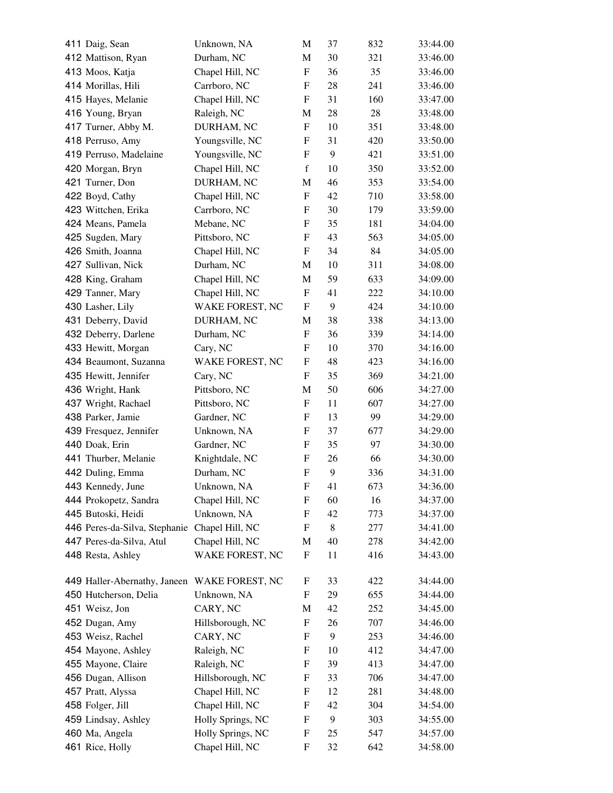| 411 Daig, Sean                | Unknown, NA       | M                         | 37 | 832 | 33:44.00 |
|-------------------------------|-------------------|---------------------------|----|-----|----------|
| 412 Mattison, Ryan            | Durham, NC        | M                         | 30 | 321 | 33:46.00 |
| 413 Moos, Katja               | Chapel Hill, NC   | $\mathbf F$               | 36 | 35  | 33:46.00 |
| 414 Morillas, Hili            | Carrboro, NC      | F                         | 28 | 241 | 33:46.00 |
| 415 Hayes, Melanie            | Chapel Hill, NC   | F                         | 31 | 160 | 33:47.00 |
| 416 Young, Bryan              | Raleigh, NC       | M                         | 28 | 28  | 33:48.00 |
| 417 Turner, Abby M.           | DURHAM, NC        | $\mathbf F$               | 10 | 351 | 33:48.00 |
| 418 Perruso, Amy              | Youngsville, NC   | F                         | 31 | 420 | 33:50.00 |
| 419 Perruso, Madelaine        | Youngsville, NC   | F                         | 9  | 421 | 33:51.00 |
| 420 Morgan, Bryn              | Chapel Hill, NC   | $\mathbf f$               | 10 | 350 | 33:52.00 |
| 421 Turner, Don               | DURHAM, NC        | M                         | 46 | 353 | 33:54.00 |
| 422 Boyd, Cathy               | Chapel Hill, NC   | F                         | 42 | 710 | 33:58.00 |
| 423 Wittchen, Erika           | Carrboro, NC      | F                         | 30 | 179 | 33:59.00 |
| 424 Means, Pamela             | Mebane, NC        | F                         | 35 | 181 | 34:04.00 |
| 425 Sugden, Mary              | Pittsboro, NC     | F                         | 43 | 563 | 34:05.00 |
| 426 Smith, Joanna             | Chapel Hill, NC   | F                         | 34 | 84  | 34:05.00 |
| 427 Sullivan, Nick            | Durham, NC        | M                         | 10 | 311 | 34:08.00 |
| 428 King, Graham              | Chapel Hill, NC   | M                         | 59 | 633 | 34:09.00 |
| 429 Tanner, Mary              | Chapel Hill, NC   | F                         | 41 | 222 | 34:10.00 |
| 430 Lasher, Lily              | WAKE FOREST, NC   | F                         | 9  | 424 | 34:10.00 |
| 431 Deberry, David            | DURHAM, NC        | M                         | 38 | 338 | 34:13.00 |
| 432 Deberry, Darlene          | Durham, NC        | F                         | 36 | 339 | 34:14.00 |
| 433 Hewitt, Morgan            | Cary, NC          | F                         | 10 | 370 | 34:16.00 |
| 434 Beaumont, Suzanna         | WAKE FOREST, NC   | F                         | 48 | 423 | 34:16.00 |
| 435 Hewitt, Jennifer          | Cary, NC          | F                         | 35 | 369 | 34:21.00 |
| 436 Wright, Hank              | Pittsboro, NC     | M                         | 50 | 606 | 34:27.00 |
| 437 Wright, Rachael           | Pittsboro, NC     | $\boldsymbol{\mathrm{F}}$ | 11 | 607 | 34:27.00 |
| 438 Parker, Jamie             | Gardner, NC       | F                         | 13 | 99  | 34:29.00 |
| 439 Fresquez, Jennifer        | Unknown, NA       | F                         | 37 | 677 | 34:29.00 |
| 440 Doak, Erin                | Gardner, NC       | F                         | 35 | 97  | 34:30.00 |
| 441 Thurber, Melanie          | Knightdale, NC    | F                         | 26 | 66  | 34:30.00 |
| 442 Duling, Emma              | Durham, NC        | ${\bf F}$                 | 9  | 336 | 34:31.00 |
| 443 Kennedy, June             | Unknown, NA       | ${\rm F}$                 | 41 | 673 | 34:36.00 |
| 444 Prokopetz, Sandra         | Chapel Hill, NC   | F                         | 60 | 16  | 34:37.00 |
| 445 Butoski, Heidi            | Unknown, NA       | F                         | 42 | 773 | 34:37.00 |
| 446 Peres-da-Silva, Stephanie | Chapel Hill, NC   | F                         | 8  | 277 | 34:41.00 |
| 447 Peres-da-Silva, Atul      | Chapel Hill, NC   | M                         | 40 | 278 | 34:42.00 |
| 448 Resta, Ashley             | WAKE FOREST, NC   | ${\rm F}$                 | 11 | 416 | 34:43.00 |
|                               |                   |                           |    |     |          |
| 449 Haller-Abernathy, Janeen  | WAKE FOREST, NC   | F                         | 33 | 422 | 34:44.00 |
| 450 Hutcherson, Delia         | Unknown, NA       | F                         | 29 | 655 | 34:44.00 |
| 451 Weisz, Jon                | CARY, NC          | M                         | 42 | 252 | 34:45.00 |
| 452 Dugan, Amy                | Hillsborough, NC  | F                         | 26 | 707 | 34:46.00 |
| 453 Weisz, Rachel             | CARY, NC          | F                         | 9  | 253 | 34:46.00 |
| 454 Mayone, Ashley            | Raleigh, NC       | F                         | 10 | 412 | 34:47.00 |
| 455 Mayone, Claire            | Raleigh, NC       | F                         | 39 | 413 | 34:47.00 |
| 456 Dugan, Allison            | Hillsborough, NC  | F                         | 33 | 706 | 34:47.00 |
| 457 Pratt, Alyssa             | Chapel Hill, NC   | ${\rm F}$                 | 12 | 281 | 34:48.00 |
| 458 Folger, Jill              | Chapel Hill, NC   | F                         | 42 | 304 | 34:54.00 |
| 459 Lindsay, Ashley           | Holly Springs, NC | F                         | 9  | 303 | 34:55.00 |
| 460 Ma, Angela                | Holly Springs, NC | ${\rm F}$                 | 25 | 547 | 34:57.00 |
| 461 Rice, Holly               | Chapel Hill, NC   | F                         | 32 | 642 | 34:58.00 |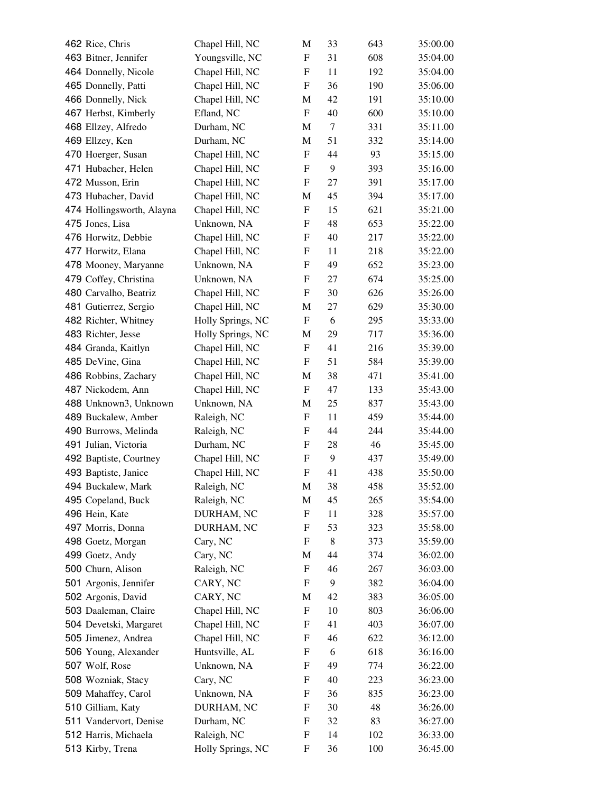| 462 Rice, Chris           | Chapel Hill, NC   | M                         | 33      | 643 | 35:00.00 |
|---------------------------|-------------------|---------------------------|---------|-----|----------|
| 463 Bitner, Jennifer      | Youngsville, NC   | F                         | 31      | 608 | 35:04.00 |
| 464 Donnelly, Nicole      | Chapel Hill, NC   | F                         | 11      | 192 | 35:04.00 |
| 465 Donnelly, Patti       | Chapel Hill, NC   | F                         | 36      | 190 | 35:06.00 |
| 466 Donnelly, Nick        | Chapel Hill, NC   | M                         | 42      | 191 | 35:10.00 |
| 467 Herbst, Kimberly      | Efland, NC        | F                         | 40      | 600 | 35:10.00 |
| 468 Ellzey, Alfredo       | Durham, NC        | M                         | $\tau$  | 331 | 35:11.00 |
| 469 Ellzey, Ken           | Durham, NC        | M                         | 51      | 332 | 35:14.00 |
| 470 Hoerger, Susan        | Chapel Hill, NC   | F                         | 44      | 93  | 35:15.00 |
| 471 Hubacher, Helen       | Chapel Hill, NC   | F                         | 9       | 393 | 35:16.00 |
| 472 Musson, Erin          | Chapel Hill, NC   | F                         | 27      | 391 | 35:17.00 |
| 473 Hubacher, David       | Chapel Hill, NC   | M                         | 45      | 394 | 35:17.00 |
| 474 Hollingsworth, Alayna | Chapel Hill, NC   | F                         | 15      | 621 | 35:21.00 |
| 475 Jones, Lisa           | Unknown, NA       | F                         | 48      | 653 | 35:22.00 |
| 476 Horwitz, Debbie       | Chapel Hill, NC   | F                         | 40      | 217 | 35:22.00 |
| 477 Horwitz, Elana        | Chapel Hill, NC   | F                         | 11      | 218 | 35:22.00 |
| 478 Mooney, Maryanne      | Unknown, NA       | F                         | 49      | 652 | 35:23.00 |
| 479 Coffey, Christina     | Unknown, NA       | F                         | 27      | 674 | 35:25.00 |
| 480 Carvalho, Beatriz     | Chapel Hill, NC   | F                         | 30      | 626 | 35:26.00 |
| 481 Gutierrez, Sergio     | Chapel Hill, NC   | M                         | 27      | 629 | 35:30.00 |
| 482 Richter, Whitney      | Holly Springs, NC | F                         | 6       | 295 | 35:33.00 |
| 483 Richter, Jesse        | Holly Springs, NC | M                         | 29      | 717 | 35:36.00 |
| 484 Granda, Kaitlyn       | Chapel Hill, NC   | F                         | 41      | 216 | 35:39.00 |
| 485 DeVine, Gina          | Chapel Hill, NC   | F                         | 51      | 584 | 35:39.00 |
| 486 Robbins, Zachary      | Chapel Hill, NC   | M                         | 38      | 471 | 35:41.00 |
| 487 Nickodem, Ann         | Chapel Hill, NC   | F                         | 47      | 133 | 35:43.00 |
| 488 Unknown3, Unknown     | Unknown, NA       | M                         | 25      | 837 | 35:43.00 |
| 489 Buckalew, Amber       | Raleigh, NC       | F                         | 11      | 459 | 35:44.00 |
| 490 Burrows, Melinda      | Raleigh, NC       | F                         | 44      | 244 | 35:44.00 |
| 491 Julian, Victoria      | Durham, NC        | F                         | 28      | 46  | 35:45.00 |
| 492 Baptiste, Courtney    | Chapel Hill, NC   | F                         | 9       | 437 | 35:49.00 |
| 493 Baptiste, Janice      | Chapel Hill, NC   | $\boldsymbol{\mathrm{F}}$ | 41      | 438 | 35:50.00 |
| 494 Buckalew, Mark        | Raleigh, NC       | M                         | 38      | 458 | 35:52.00 |
| 495 Copeland, Buck        | Raleigh, NC       | M                         | 45      | 265 | 35:54.00 |
| 496 Hein, Kate            | DURHAM, NC        | F                         | 11      | 328 | 35:57.00 |
| 497 Morris, Donna         | DURHAM, NC        | F                         | 53      | 323 | 35:58.00 |
| 498 Goetz, Morgan         | Cary, NC          | F                         | $\,8\,$ | 373 | 35:59.00 |
| 499 Goetz, Andy           | Cary, NC          | M                         | 44      | 374 | 36:02.00 |
| 500 Churn, Alison         | Raleigh, NC       | F                         | 46      | 267 | 36:03.00 |
| 501 Argonis, Jennifer     | CARY, NC          | F                         | 9       | 382 | 36:04.00 |
| 502 Argonis, David        | CARY, NC          | M                         | 42      | 383 | 36:05.00 |
| 503 Daaleman, Claire      | Chapel Hill, NC   | F                         | 10      | 803 | 36:06.00 |
| 504 Devetski, Margaret    | Chapel Hill, NC   | F                         | 41      | 403 | 36:07.00 |
| 505 Jimenez, Andrea       | Chapel Hill, NC   | F                         | 46      | 622 | 36:12.00 |
| 506 Young, Alexander      | Huntsville, AL    | F                         | 6       | 618 | 36:16.00 |
| 507 Wolf, Rose            | Unknown, NA       | F                         | 49      | 774 | 36:22.00 |
| 508 Wozniak, Stacy        | Cary, NC          | F                         | 40      | 223 | 36:23.00 |
| 509 Mahaffey, Carol       | Unknown, NA       | F                         | 36      | 835 | 36:23.00 |
| 510 Gilliam, Katy         | DURHAM, NC        | F                         | 30      | 48  | 36:26.00 |
| 511 Vandervort, Denise    | Durham, NC        | F                         | 32      | 83  | 36:27.00 |
| 512 Harris, Michaela      | Raleigh, NC       | F                         | 14      | 102 | 36:33.00 |
| 513 Kirby, Trena          | Holly Springs, NC | F                         | 36      | 100 | 36:45.00 |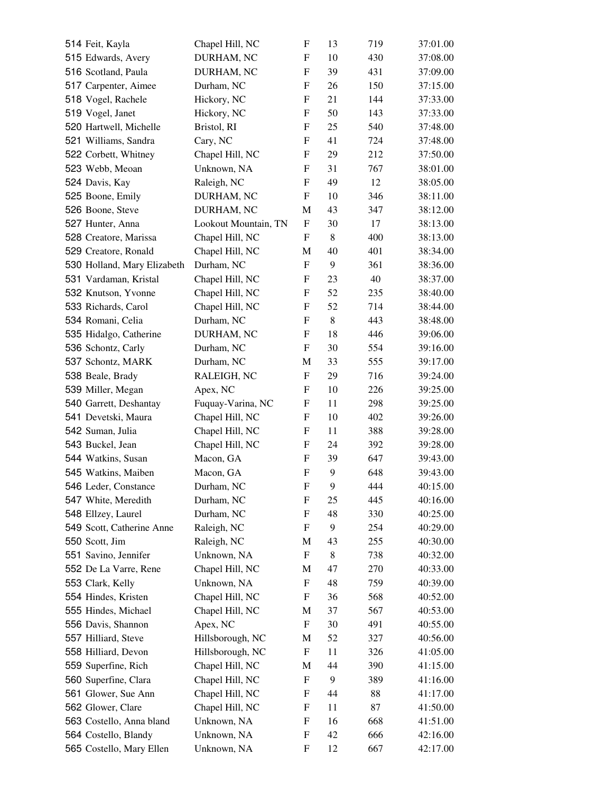| 514 Feit, Kayla             | Chapel Hill, NC      | F                         | 13       | 719 | 37:01.00 |
|-----------------------------|----------------------|---------------------------|----------|-----|----------|
| 515 Edwards, Avery          | DURHAM, NC           | F                         | 10       | 430 | 37:08.00 |
| 516 Scotland, Paula         | DURHAM, NC           | F                         | 39       | 431 | 37:09.00 |
| 517 Carpenter, Aimee        | Durham, NC           | F                         | 26       | 150 | 37:15.00 |
| 518 Vogel, Rachele          | Hickory, NC          | F                         | 21       | 144 | 37:33.00 |
| 519 Vogel, Janet            | Hickory, NC          | F                         | 50       | 143 | 37:33.00 |
| 520 Hartwell, Michelle      | Bristol, RI          | $\boldsymbol{\mathrm{F}}$ | 25       | 540 | 37:48.00 |
| 521 Williams, Sandra        | Cary, NC             | F                         | 41       | 724 | 37:48.00 |
| 522 Corbett, Whitney        | Chapel Hill, NC      | F                         | 29       | 212 | 37:50.00 |
| 523 Webb, Meoan             | Unknown, NA          | F                         | 31       | 767 | 38:01.00 |
| 524 Davis, Kay              | Raleigh, NC          | F                         | 49       | 12  | 38:05.00 |
| 525 Boone, Emily            | DURHAM, NC           | F                         | 10       | 346 | 38:11.00 |
| 526 Boone, Steve            | DURHAM, NC           | M                         | 43       | 347 | 38:12.00 |
| 527 Hunter, Anna            | Lookout Mountain, TN | F                         | 30       | 17  | 38:13.00 |
| 528 Creatore, Marissa       | Chapel Hill, NC      | F                         | 8        | 400 | 38:13.00 |
| 529 Creatore, Ronald        | Chapel Hill, NC      | M                         | 40       | 401 | 38:34.00 |
| 530 Holland, Mary Elizabeth | Durham, NC           | $\mathbf F$               | 9        | 361 | 38:36.00 |
| 531 Vardaman, Kristal       | Chapel Hill, NC      | F                         | 23       | 40  | 38:37.00 |
| 532 Knutson, Yvonne         | Chapel Hill, NC      | F                         | 52       | 235 | 38:40.00 |
| 533 Richards, Carol         | Chapel Hill, NC      | ${\bf F}$                 | 52       | 714 | 38:44.00 |
| 534 Romani, Celia           | Durham, NC           | F                         | 8        | 443 | 38:48.00 |
| 535 Hidalgo, Catherine      | DURHAM, NC           | F                         | 18       | 446 | 39:06.00 |
| 536 Schontz, Carly          | Durham, NC           | F                         | 30       | 554 | 39:16.00 |
| 537 Schontz, MARK           | Durham, NC           | M                         | 33       | 555 | 39:17.00 |
| 538 Beale, Brady            | RALEIGH, NC          | F                         | 29       | 716 | 39:24.00 |
| 539 Miller, Megan           | Apex, NC             | F                         | 10       | 226 | 39:25.00 |
| 540 Garrett, Deshantay      | Fuquay-Varina, NC    | F                         | 11       | 298 | 39:25.00 |
| 541 Devetski, Maura         | Chapel Hill, NC      | F                         | 10       | 402 | 39:26.00 |
| 542 Suman, Julia            | Chapel Hill, NC      | F                         | 11       | 388 | 39:28.00 |
| 543 Buckel, Jean            | Chapel Hill, NC      | F                         | 24       | 392 | 39:28.00 |
| 544 Watkins, Susan          | Macon, GA            | F                         | 39       | 647 | 39:43.00 |
| 545 Watkins, Maiben         | Macon, GA            | ${\bf F}$                 | 9        | 648 | 39:43.00 |
| 546 Leder, Constance        | Durham, NC           | F                         | 9        | 444 | 40:15.00 |
| 547 White, Meredith         | Durham, NC           | F                         | 25       | 445 | 40:16.00 |
| 548 Ellzey, Laurel          | Durham, NC           | F                         | 48       | 330 | 40:25.00 |
| 549 Scott, Catherine Anne   | Raleigh, NC          | F                         | 9        | 254 | 40:29.00 |
| 550 Scott, Jim              | Raleigh, NC          | M                         | 43       | 255 | 40:30.00 |
| 551 Savino, Jennifer        | Unknown, NA          | F                         | 8        | 738 | 40:32.00 |
| 552 De La Varre, Rene       | Chapel Hill, NC      | M                         | 47       | 270 | 40:33.00 |
| 553 Clark, Kelly            | Unknown, NA          | F                         | 48       | 759 | 40:39.00 |
| 554 Hindes, Kristen         | Chapel Hill, NC      | F                         | 36       | 568 | 40:52.00 |
| 555 Hindes, Michael         | Chapel Hill, NC      | M                         | 37       | 567 | 40:53.00 |
| 556 Davis, Shannon          | Apex, NC             | F                         | 30       | 491 | 40:55.00 |
| 557 Hilliard, Steve         | Hillsborough, NC     |                           | 52       |     |          |
|                             |                      | M                         |          | 327 | 40:56.00 |
| 558 Hilliard, Devon         | Hillsborough, NC     | ${\rm F}$                 | 11<br>44 | 326 | 41:05.00 |
| 559 Superfine, Rich         | Chapel Hill, NC      | M                         | 9        | 390 | 41:15.00 |
| 560 Superfine, Clara        | Chapel Hill, NC      | F                         |          | 389 | 41:16.00 |
| 561 Glower, Sue Ann         | Chapel Hill, NC      | F                         | 44       | 88  | 41:17.00 |
| 562 Glower, Clare           | Chapel Hill, NC      | F                         | 11       | 87  | 41:50.00 |
| 563 Costello, Anna bland    | Unknown, NA          | F                         | 16       | 668 | 41:51.00 |
| 564 Costello, Blandy        | Unknown, NA          | F                         | 42       | 666 | 42:16.00 |
| 565 Costello, Mary Ellen    | Unknown, NA          | F                         | 12       | 667 | 42:17.00 |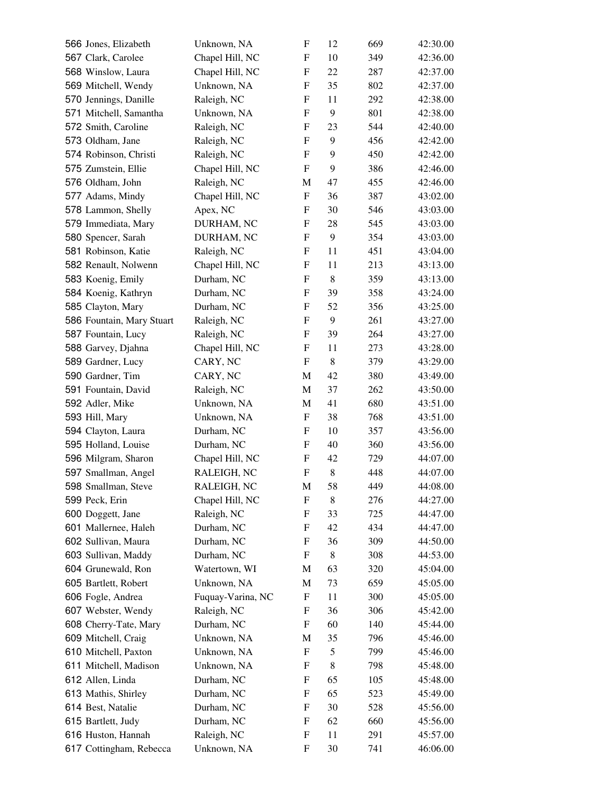| 566 Jones, Elizabeth                      | Unknown, NA       | F                         | 12      | 669 | 42:30.00 |
|-------------------------------------------|-------------------|---------------------------|---------|-----|----------|
| 567 Clark, Carolee                        | Chapel Hill, NC   | F                         | 10      | 349 | 42:36.00 |
| 568 Winslow, Laura                        | Chapel Hill, NC   | F                         | 22      | 287 | 42:37.00 |
| 569 Mitchell, Wendy                       | Unknown, NA       | F                         | 35      | 802 | 42:37.00 |
| 570 Jennings, Danille                     | Raleigh, NC       | F                         | 11      | 292 | 42:38.00 |
| 571 Mitchell, Samantha                    | Unknown, NA       | F                         | 9       | 801 | 42:38.00 |
| 572 Smith, Caroline                       | Raleigh, NC       | F                         | 23      | 544 | 42:40.00 |
| 573 Oldham, Jane                          | Raleigh, NC       | F                         | 9       | 456 | 42:42.00 |
| 574 Robinson, Christi                     | Raleigh, NC       | F                         | 9       | 450 | 42:42.00 |
| 575 Zumstein, Ellie                       | Chapel Hill, NC   | F                         | 9       | 386 | 42:46.00 |
| 576 Oldham, John                          | Raleigh, NC       | M                         | 47      | 455 | 42:46.00 |
| 577 Adams, Mindy                          | Chapel Hill, NC   | F                         | 36      | 387 | 43:02.00 |
| 578 Lammon, Shelly                        | Apex, NC          | F                         | 30      | 546 | 43:03.00 |
| 579 Immediata, Mary                       | DURHAM, NC        | F                         | 28      | 545 | 43:03.00 |
| 580 Spencer, Sarah                        | DURHAM, NC        | F                         | 9       | 354 | 43:03.00 |
| 581 Robinson, Katie                       | Raleigh, NC       | F                         | 11      | 451 | 43:04.00 |
| 582 Renault, Nolwenn                      | Chapel Hill, NC   | F                         | 11      | 213 | 43:13.00 |
| 583 Koenig, Emily                         | Durham, NC        | F                         | 8       | 359 | 43:13.00 |
| 584 Koenig, Kathryn                       | Durham, NC        | F                         | 39      | 358 | 43:24.00 |
| 585 Clayton, Mary                         | Durham, NC        | F                         | 52      | 356 | 43:25.00 |
| 586 Fountain, Mary Stuart                 | Raleigh, NC       | F                         | 9       | 261 | 43:27.00 |
| 587 Fountain, Lucy                        | Raleigh, NC       | F                         | 39      | 264 | 43:27.00 |
| 588 Garvey, Djahna                        | Chapel Hill, NC   | F                         | 11      | 273 | 43:28.00 |
| 589 Gardner, Lucy                         | CARY, NC          | $\boldsymbol{\mathrm{F}}$ | 8       | 379 | 43:29.00 |
| 590 Gardner, Tim                          | CARY, NC          | M                         | 42      | 380 | 43:49.00 |
| 591 Fountain, David                       | Raleigh, NC       | M                         | 37      | 262 | 43:50.00 |
| 592 Adler, Mike                           | Unknown, NA       | M                         | 41      | 680 | 43:51.00 |
| 593 Hill, Mary                            | Unknown, NA       | F                         | 38      | 768 | 43:51.00 |
| 594 Clayton, Laura                        | Durham, NC        | F                         | 10      | 357 | 43:56.00 |
| 595 Holland, Louise                       | Durham, NC        | F                         | 40      | 360 | 43:56.00 |
| 596 Milgram, Sharon                       | Chapel Hill, NC   | F                         | 42      | 729 | 44:07.00 |
| 597 Smallman, Angel                       | RALEIGH, NC       | $\boldsymbol{\mathrm{F}}$ | $\,8\,$ | 448 | 44:07.00 |
| 598 Smallman, Steve                       | RALEIGH, NC       | M                         | 58      | 449 | 44:08.00 |
| 599 Peck, Erin                            | Chapel Hill, NC   | F                         | 8       | 276 | 44:27.00 |
|                                           | Raleigh, NC       | F                         | 33      | 725 | 44:47.00 |
| 600 Doggett, Jane<br>601 Mallernee, Haleh | Durham, NC        | F                         | 42      | 434 | 44:47.00 |
| 602 Sullivan, Maura                       | Durham, NC        | F                         | 36      | 309 | 44:50.00 |
| 603 Sullivan, Maddy                       | Durham, NC        | F                         | 8       | 308 | 44:53.00 |
| 604 Grunewald, Ron                        | Watertown, WI     |                           | 63      | 320 |          |
|                                           |                   | M                         |         |     | 45:04.00 |
| 605 Bartlett, Robert                      | Unknown, NA       | M                         | 73      | 659 | 45:05.00 |
| 606 Fogle, Andrea                         | Fuquay-Varina, NC | F                         | 11      | 300 | 45:05.00 |
| 607 Webster, Wendy                        | Raleigh, NC       | F                         | 36      | 306 | 45:42.00 |
| 608 Cherry-Tate, Mary                     | Durham, NC        | F                         | 60      | 140 | 45:44.00 |
| 609 Mitchell, Craig                       | Unknown, NA       | M                         | 35      | 796 | 45:46.00 |
| 610 Mitchell, Paxton                      | Unknown, NA       | F                         | 5       | 799 | 45:46.00 |
| 611 Mitchell, Madison                     | Unknown, NA       | F                         | 8       | 798 | 45:48.00 |
| 612 Allen, Linda                          | Durham, NC        | F                         | 65      | 105 | 45:48.00 |
| 613 Mathis, Shirley                       | Durham, NC        | F                         | 65      | 523 | 45:49.00 |
| 614 Best, Natalie                         | Durham, NC        | F                         | 30      | 528 | 45:56.00 |
| 615 Bartlett, Judy                        | Durham, NC        | F                         | 62      | 660 | 45:56.00 |
| 616 Huston, Hannah                        | Raleigh, NC       | F                         | 11      | 291 | 45:57.00 |
| 617 Cottingham, Rebecca                   | Unknown, NA       | F                         | 30      | 741 | 46:06.00 |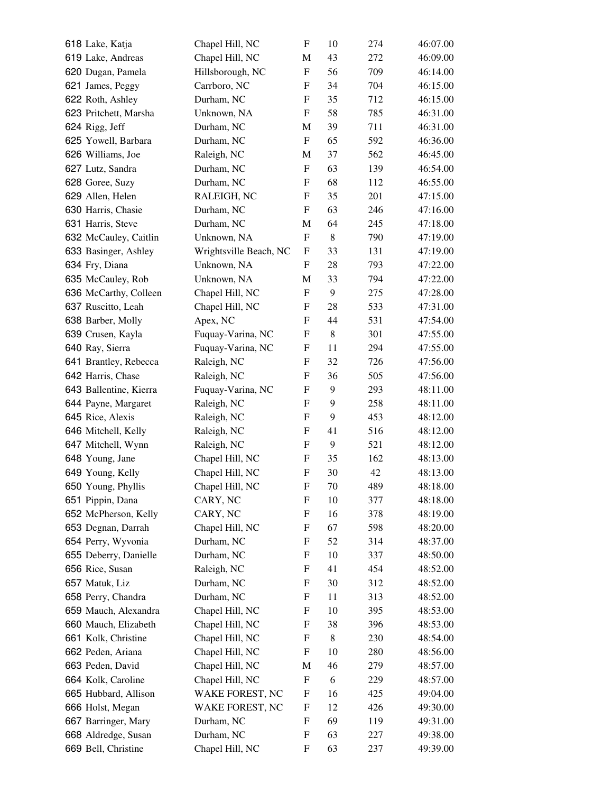| 618 Lake, Katja        | Chapel Hill, NC        | $\boldsymbol{\mathrm{F}}$ | 10 | 274        | 46:07.00             |
|------------------------|------------------------|---------------------------|----|------------|----------------------|
| 619 Lake, Andreas      | Chapel Hill, NC        | M                         | 43 | 272        | 46:09.00             |
| 620 Dugan, Pamela      | Hillsborough, NC       | F                         | 56 | 709        | 46:14.00             |
| 621 James, Peggy       | Carrboro, NC           | F                         | 34 | 704        | 46:15.00             |
| 622 Roth, Ashley       | Durham, NC             | F                         | 35 | 712        | 46:15.00             |
| 623 Pritchett, Marsha  | Unknown, NA            | F                         | 58 | 785        | 46:31.00             |
| 624 Rigg, Jeff         | Durham, NC             | M                         | 39 | 711        | 46:31.00             |
| 625 Yowell, Barbara    | Durham, NC             | F                         | 65 | 592        | 46:36.00             |
| 626 Williams, Joe      | Raleigh, NC            | M                         | 37 | 562        | 46:45.00             |
| 627 Lutz, Sandra       | Durham, NC             | F                         | 63 | 139        | 46:54.00             |
| 628 Goree, Suzy        | Durham, NC             | F                         | 68 | 112        | 46:55.00             |
| 629 Allen, Helen       | RALEIGH, NC            | F                         | 35 | 201        | 47:15.00             |
| 630 Harris, Chasie     | Durham, NC             | F                         | 63 | 246        | 47:16.00             |
| 631 Harris, Steve      | Durham, NC             | M                         | 64 | 245        | 47:18.00             |
| 632 McCauley, Caitlin  | Unknown, NA            | F                         | 8  | 790        | 47:19.00             |
| 633 Basinger, Ashley   | Wrightsville Beach, NC | F                         | 33 | 131        | 47:19.00             |
| 634 Fry, Diana         | Unknown, NA            | F                         | 28 | 793        | 47:22.00             |
| 635 McCauley, Rob      | Unknown, NA            | M                         | 33 | 794        | 47:22.00             |
| 636 McCarthy, Colleen  | Chapel Hill, NC        | F                         | 9  | 275        | 47:28.00             |
| 637 Ruscitto, Leah     | Chapel Hill, NC        | F                         | 28 | 533        | 47:31.00             |
| 638 Barber, Molly      | Apex, NC               | F                         | 44 | 531        | 47:54.00             |
| 639 Crusen, Kayla      | Fuquay-Varina, NC      | F                         | 8  | 301        | 47:55.00             |
| 640 Ray, Sierra        | Fuquay-Varina, NC      | ${\rm F}$                 | 11 | 294        | 47:55.00             |
| 641 Brantley, Rebecca  | Raleigh, NC            | F                         | 32 | 726        | 47:56.00             |
| 642 Harris, Chase      | Raleigh, NC            | F                         | 36 | 505        | 47:56.00             |
| 643 Ballentine, Kierra | Fuquay-Varina, NC      | F                         | 9  | 293        | 48:11.00             |
| 644 Payne, Margaret    | Raleigh, NC            | F                         | 9  | 258        | 48:11.00             |
| 645 Rice, Alexis       | Raleigh, NC            | F                         | 9  | 453        | 48:12.00             |
| 646 Mitchell, Kelly    | Raleigh, NC            | F                         | 41 | 516        | 48:12.00             |
| 647 Mitchell, Wynn     | Raleigh, NC            | F                         | 9  | 521        | 48:12.00             |
| 648 Young, Jane        | Chapel Hill, NC        | F                         | 35 | 162        | 48:13.00             |
| 649 Young, Kelly       | Chapel Hill, NC        | ${\bf F}$                 | 30 | 42         | 48:13.00             |
| 650 Young, Phyllis     | Chapel Hill, NC        | F                         | 70 | 489        | 48:18.00             |
| 651 Pippin, Dana       | CARY, NC               | F                         | 10 | 377        | 48:18.00             |
| 652 McPherson, Kelly   | CARY, NC               | F                         | 16 | 378        | 48:19.00             |
| 653 Degnan, Darrah     | Chapel Hill, NC        | F                         | 67 | 598        | 48:20.00             |
| 654 Perry, Wyvonia     | Durham, NC             | F                         | 52 | 314        | 48:37.00             |
| 655 Deberry, Danielle  | Durham, NC             | F                         | 10 | 337        | 48:50.00             |
| 656 Rice, Susan        | Raleigh, NC            | F                         | 41 | 454        | 48:52.00             |
| 657 Matuk, Liz         | Durham, NC             | F                         | 30 | 312        | 48:52.00             |
| 658 Perry, Chandra     | Durham, NC             | F                         | 11 | 313        | 48:52.00             |
| 659 Mauch, Alexandra   | Chapel Hill, NC        | F                         | 10 | 395        | 48:53.00             |
| 660 Mauch, Elizabeth   | Chapel Hill, NC        | F                         | 38 | 396        | 48:53.00             |
| 661 Kolk, Christine    | Chapel Hill, NC        | F                         | 8  | 230        | 48:54.00             |
| 662 Peden, Ariana      | Chapel Hill, NC        | F                         | 10 | 280        | 48:56.00             |
| 663 Peden, David       | Chapel Hill, NC        | M                         | 46 | 279        | 48:57.00             |
| 664 Kolk, Caroline     | Chapel Hill, NC        | F                         | 6  |            |                      |
| 665 Hubbard, Allison   | WAKE FOREST, NC        | F                         | 16 | 229<br>425 | 48:57.00<br>49:04.00 |
| 666 Holst, Megan       | WAKE FOREST, NC        | F                         | 12 | 426        | 49:30.00             |
| 667 Barringer, Mary    | Durham, NC             | F                         | 69 | 119        | 49:31.00             |
| 668 Aldredge, Susan    | Durham, NC             | F                         | 63 | 227        | 49:38.00             |
| 669 Bell, Christine    | Chapel Hill, NC        | F                         | 63 | 237        | 49:39.00             |
|                        |                        |                           |    |            |                      |